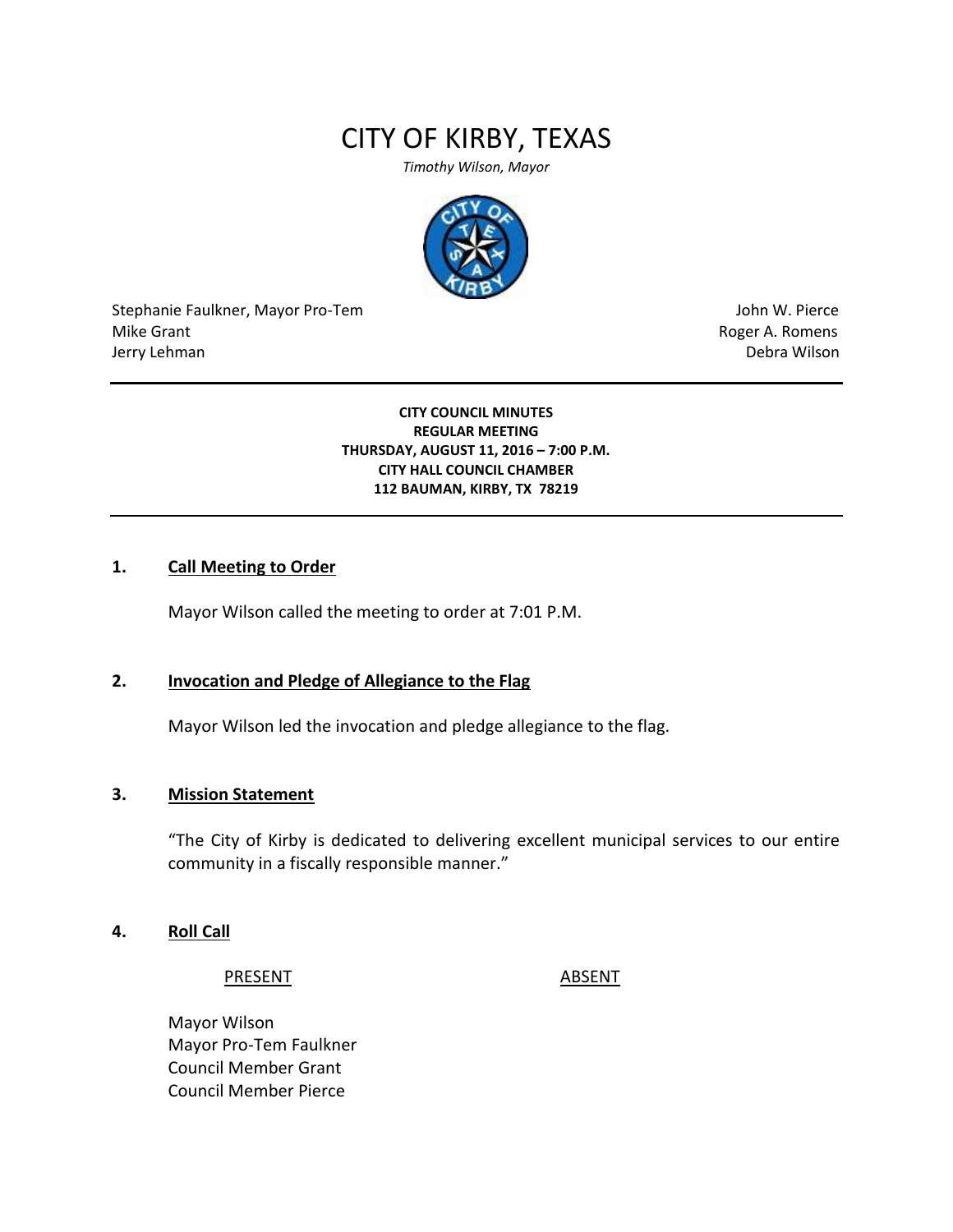# CITY OF KIRBY, TEXAS

*Timothy Wilson, Mayor*



Stephanie Faulkner, Mayor Pro-Tem John W. Pierce Mike Grant **Mike Grant** Roger A. Romens **Contract A. Romens Roger A. Romens** Jerry Lehman Debra Wilson

**CITY COUNCIL MINUTES REGULAR MEETING THURSDAY, AUGUST 11, 2016 – 7:00 P.M. CITY HALL COUNCIL CHAMBER 112 BAUMAN, KIRBY, TX 78219**

### **1. Call Meeting to Order**

Mayor Wilson called the meeting to order at 7:01 P.M.

#### **2. Invocation and Pledge of Allegiance to the Flag**

Mayor Wilson led the invocation and pledge allegiance to the flag.

### **3. Mission Statement**

"The City of Kirby is dedicated to delivering excellent municipal services to our entire community in a fiscally responsible manner."

#### **4. Roll Call**

PRESENT ABSENT

Mayor Wilson Mayor Pro-Tem Faulkner Council Member Grant Council Member Pierce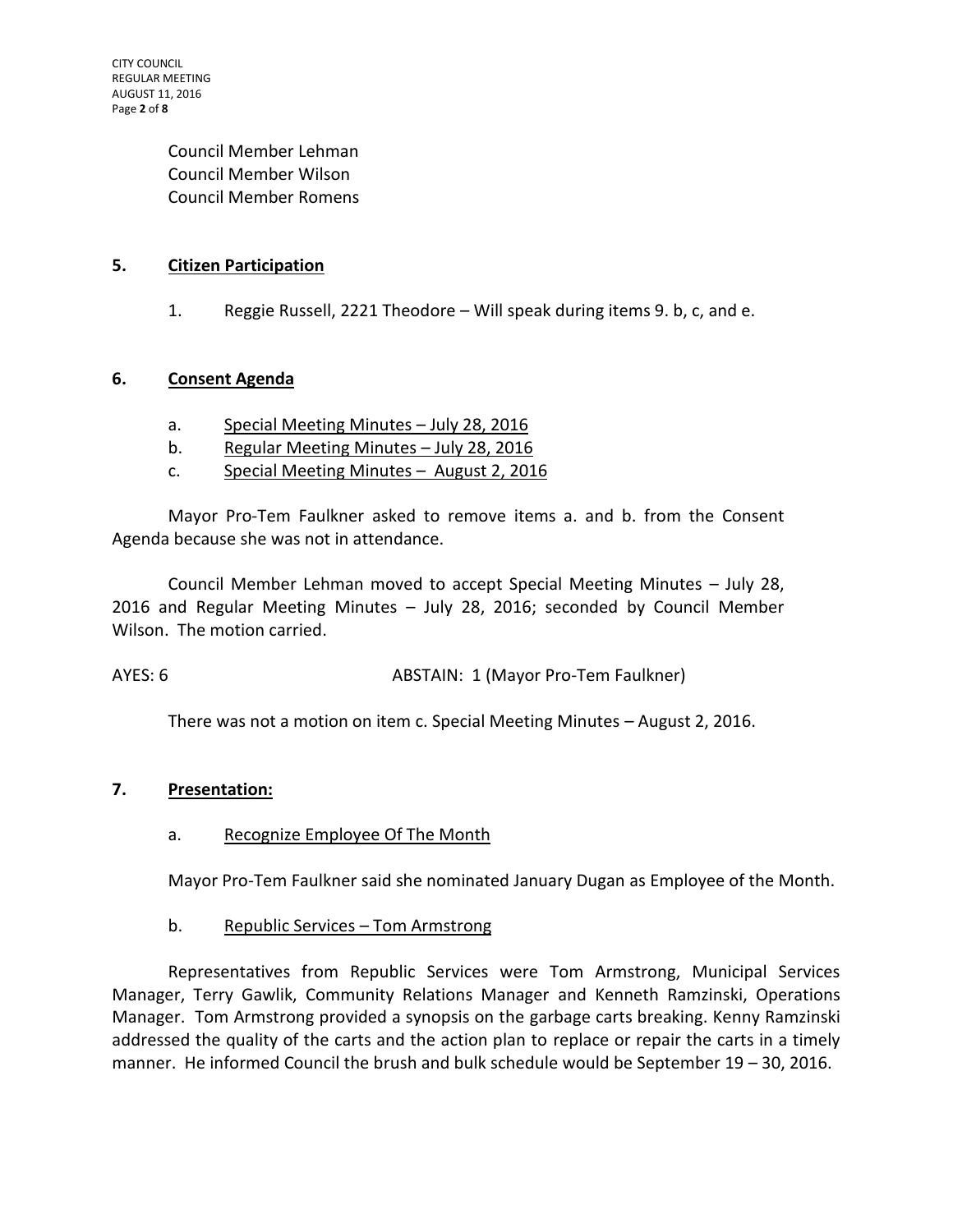Council Member Lehman Council Member Wilson Council Member Romens

### **5. Citizen Participation**

1. Reggie Russell, 2221 Theodore – Will speak during items 9. b, c, and e.

### **6. Consent Agenda**

- a. Special Meeting Minutes July 28, 2016
- b. Regular Meeting Minutes July 28, 2016
- c. Special Meeting Minutes August 2, 2016

Mayor Pro-Tem Faulkner asked to remove items a. and b. from the Consent Agenda because she was not in attendance.

Council Member Lehman moved to accept Special Meeting Minutes – July 28, 2016 and Regular Meeting Minutes – July 28, 2016; seconded by Council Member Wilson. The motion carried.

AYES: 6 ABSTAIN: 1 (Mayor Pro-Tem Faulkner)

There was not a motion on item c. Special Meeting Minutes – August 2, 2016.

### **7. Presentation:**

### a. Recognize Employee Of The Month

Mayor Pro-Tem Faulkner said she nominated January Dugan as Employee of the Month.

### b. Republic Services – Tom Armstrong

Representatives from Republic Services were Tom Armstrong, Municipal Services Manager, Terry Gawlik, Community Relations Manager and Kenneth Ramzinski, Operations Manager. Tom Armstrong provided a synopsis on the garbage carts breaking. Kenny Ramzinski addressed the quality of the carts and the action plan to replace or repair the carts in a timely manner. He informed Council the brush and bulk schedule would be September 19 – 30, 2016.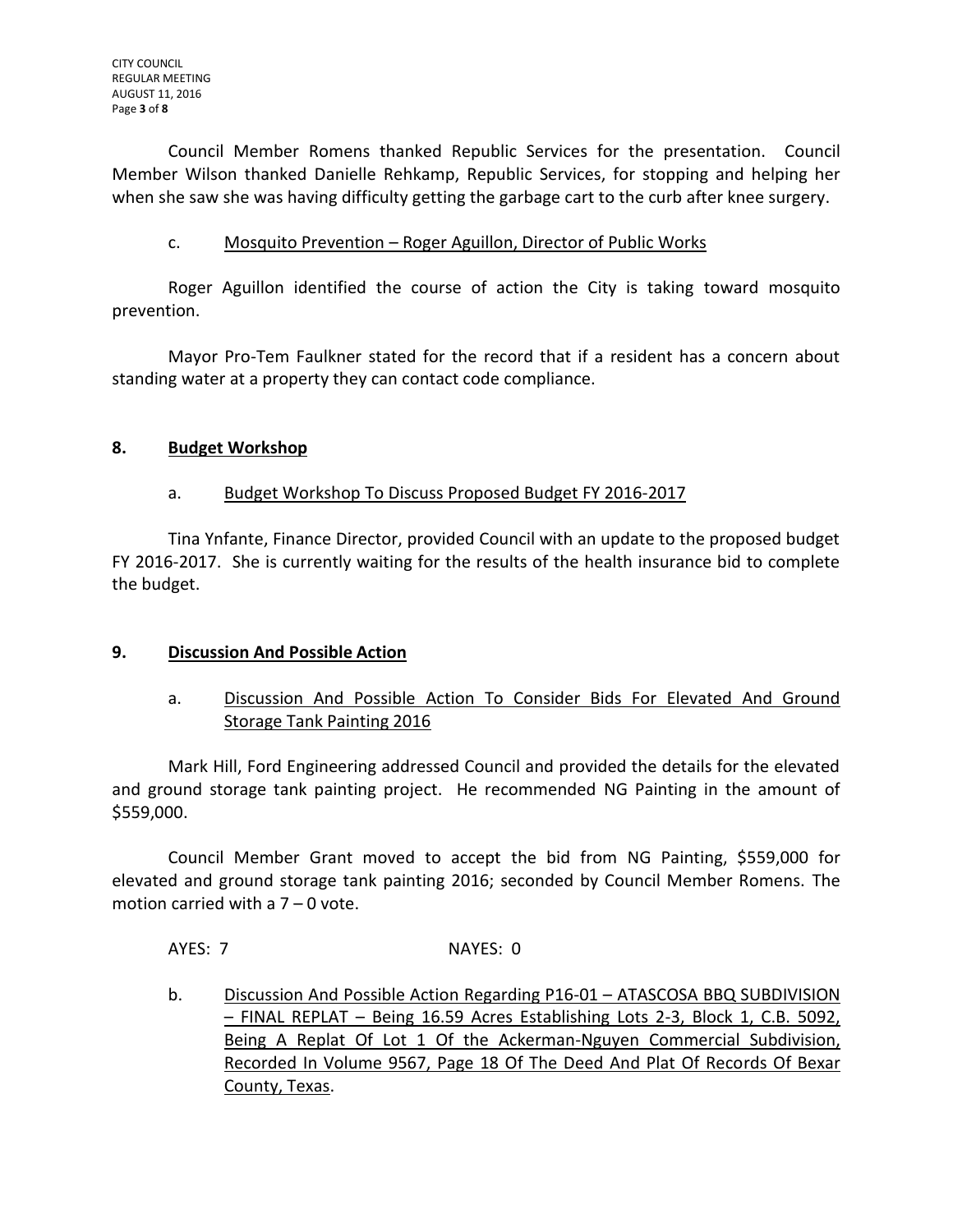Council Member Romens thanked Republic Services for the presentation. Council Member Wilson thanked Danielle Rehkamp, Republic Services, for stopping and helping her when she saw she was having difficulty getting the garbage cart to the curb after knee surgery.

### c. Mosquito Prevention – Roger Aguillon, Director of Public Works

Roger Aguillon identified the course of action the City is taking toward mosquito prevention.

Mayor Pro-Tem Faulkner stated for the record that if a resident has a concern about standing water at a property they can contact code compliance.

### **8. Budget Workshop**

# a. Budget Workshop To Discuss Proposed Budget FY 2016-2017

Tina Ynfante, Finance Director, provided Council with an update to the proposed budget FY 2016-2017. She is currently waiting for the results of the health insurance bid to complete the budget.

# **9. Discussion And Possible Action**

# a. Discussion And Possible Action To Consider Bids For Elevated And Ground Storage Tank Painting 2016

Mark Hill, Ford Engineering addressed Council and provided the details for the elevated and ground storage tank painting project. He recommended NG Painting in the amount of \$559,000.

Council Member Grant moved to accept the bid from NG Painting, \$559,000 for elevated and ground storage tank painting 2016; seconded by Council Member Romens. The motion carried with a 7 – 0 vote.

AYES: 7 NAYES: 0

b. Discussion And Possible Action Regarding P16-01 – ATASCOSA BBQ SUBDIVISION – FINAL REPLAT – Being 16.59 Acres Establishing Lots 2-3, Block 1, C.B. 5092, Being A Replat Of Lot 1 Of the Ackerman-Nguyen Commercial Subdivision, Recorded In Volume 9567, Page 18 Of The Deed And Plat Of Records Of Bexar County, Texas.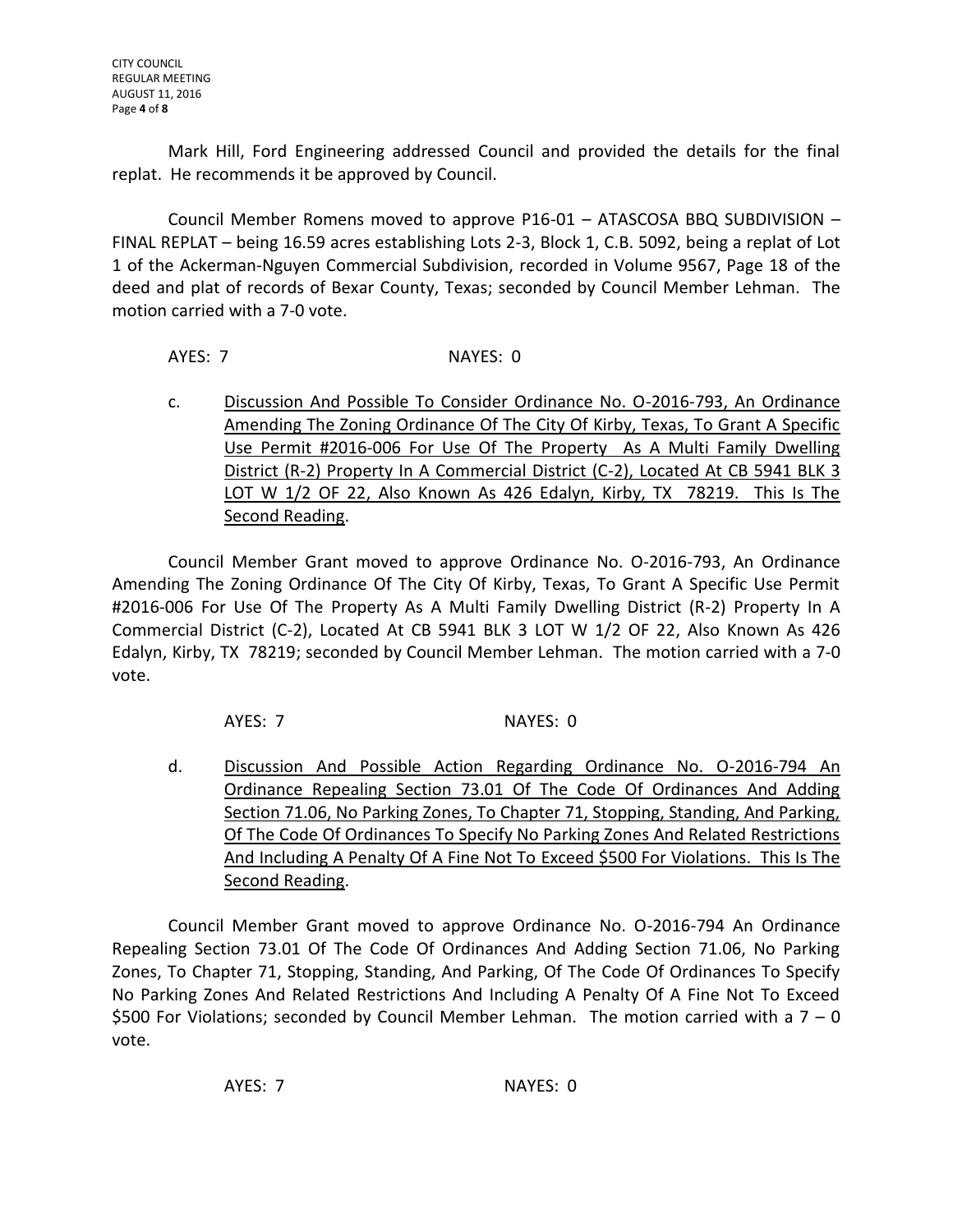Mark Hill, Ford Engineering addressed Council and provided the details for the final replat. He recommends it be approved by Council.

Council Member Romens moved to approve P16-01 – ATASCOSA BBQ SUBDIVISION – FINAL REPLAT – being 16.59 acres establishing Lots 2-3, Block 1, C.B. 5092, being a replat of Lot 1 of the Ackerman-Nguyen Commercial Subdivision, recorded in Volume 9567, Page 18 of the deed and plat of records of Bexar County, Texas; seconded by Council Member Lehman. The motion carried with a 7-0 vote.

AYES: 7 NAYES: 0

c. Discussion And Possible To Consider Ordinance No. O-2016-793, An Ordinance Amending The Zoning Ordinance Of The City Of Kirby, Texas, To Grant A Specific Use Permit #2016-006 For Use Of The Property As A Multi Family Dwelling District (R-2) Property In A Commercial District (C-2), Located At CB 5941 BLK 3 LOT W 1/2 OF 22, Also Known As 426 Edalyn, Kirby, TX 78219. This Is The Second Reading.

Council Member Grant moved to approve Ordinance No. O-2016-793, An Ordinance Amending The Zoning Ordinance Of The City Of Kirby, Texas, To Grant A Specific Use Permit #2016-006 For Use Of The Property As A Multi Family Dwelling District (R-2) Property In A Commercial District (C-2), Located At CB 5941 BLK 3 LOT W 1/2 OF 22, Also Known As 426 Edalyn, Kirby, TX 78219; seconded by Council Member Lehman. The motion carried with a 7-0 vote.

AYES: 7 NAYES: 0

d. Discussion And Possible Action Regarding Ordinance No. O-2016-794 An Ordinance Repealing Section 73.01 Of The Code Of Ordinances And Adding Section 71.06, No Parking Zones, To Chapter 71, Stopping, Standing, And Parking, Of The Code Of Ordinances To Specify No Parking Zones And Related Restrictions And Including A Penalty Of A Fine Not To Exceed \$500 For Violations. This Is The Second Reading.

Council Member Grant moved to approve Ordinance No. O-2016-794 An Ordinance Repealing Section 73.01 Of The Code Of Ordinances And Adding Section 71.06, No Parking Zones, To Chapter 71, Stopping, Standing, And Parking, Of The Code Of Ordinances To Specify No Parking Zones And Related Restrictions And Including A Penalty Of A Fine Not To Exceed \$500 For Violations; seconded by Council Member Lehman. The motion carried with a  $7 - 0$ vote.

AYES: 7 NAYES: 0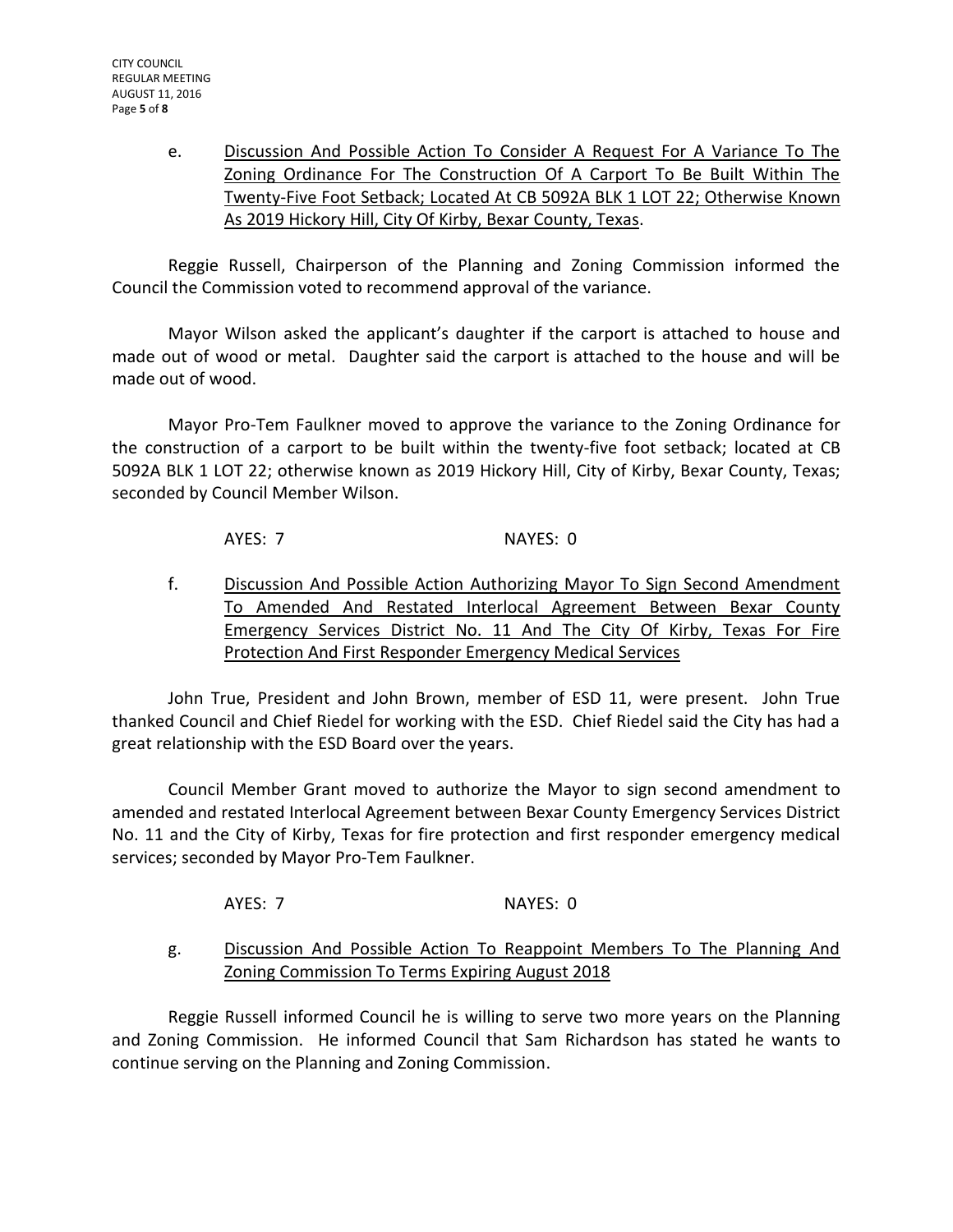e. Discussion And Possible Action To Consider A Request For A Variance To The Zoning Ordinance For The Construction Of A Carport To Be Built Within The Twenty-Five Foot Setback; Located At CB 5092A BLK 1 LOT 22; Otherwise Known As 2019 Hickory Hill, City Of Kirby, Bexar County, Texas.

Reggie Russell, Chairperson of the Planning and Zoning Commission informed the Council the Commission voted to recommend approval of the variance.

Mayor Wilson asked the applicant's daughter if the carport is attached to house and made out of wood or metal. Daughter said the carport is attached to the house and will be made out of wood.

Mayor Pro-Tem Faulkner moved to approve the variance to the Zoning Ordinance for the construction of a carport to be built within the twenty-five foot setback; located at CB 5092A BLK 1 LOT 22; otherwise known as 2019 Hickory Hill, City of Kirby, Bexar County, Texas; seconded by Council Member Wilson.

AYES: 7 NAYES: 0

f. Discussion And Possible Action Authorizing Mayor To Sign Second Amendment To Amended And Restated Interlocal Agreement Between Bexar County Emergency Services District No. 11 And The City Of Kirby, Texas For Fire Protection And First Responder Emergency Medical Services

John True, President and John Brown, member of ESD 11, were present. John True thanked Council and Chief Riedel for working with the ESD. Chief Riedel said the City has had a great relationship with the ESD Board over the years.

Council Member Grant moved to authorize the Mayor to sign second amendment to amended and restated Interlocal Agreement between Bexar County Emergency Services District No. 11 and the City of Kirby, Texas for fire protection and first responder emergency medical services; seconded by Mayor Pro-Tem Faulkner.

AYES: 7 NAYES: 0

g. Discussion And Possible Action To Reappoint Members To The Planning And Zoning Commission To Terms Expiring August 2018

Reggie Russell informed Council he is willing to serve two more years on the Planning and Zoning Commission. He informed Council that Sam Richardson has stated he wants to continue serving on the Planning and Zoning Commission.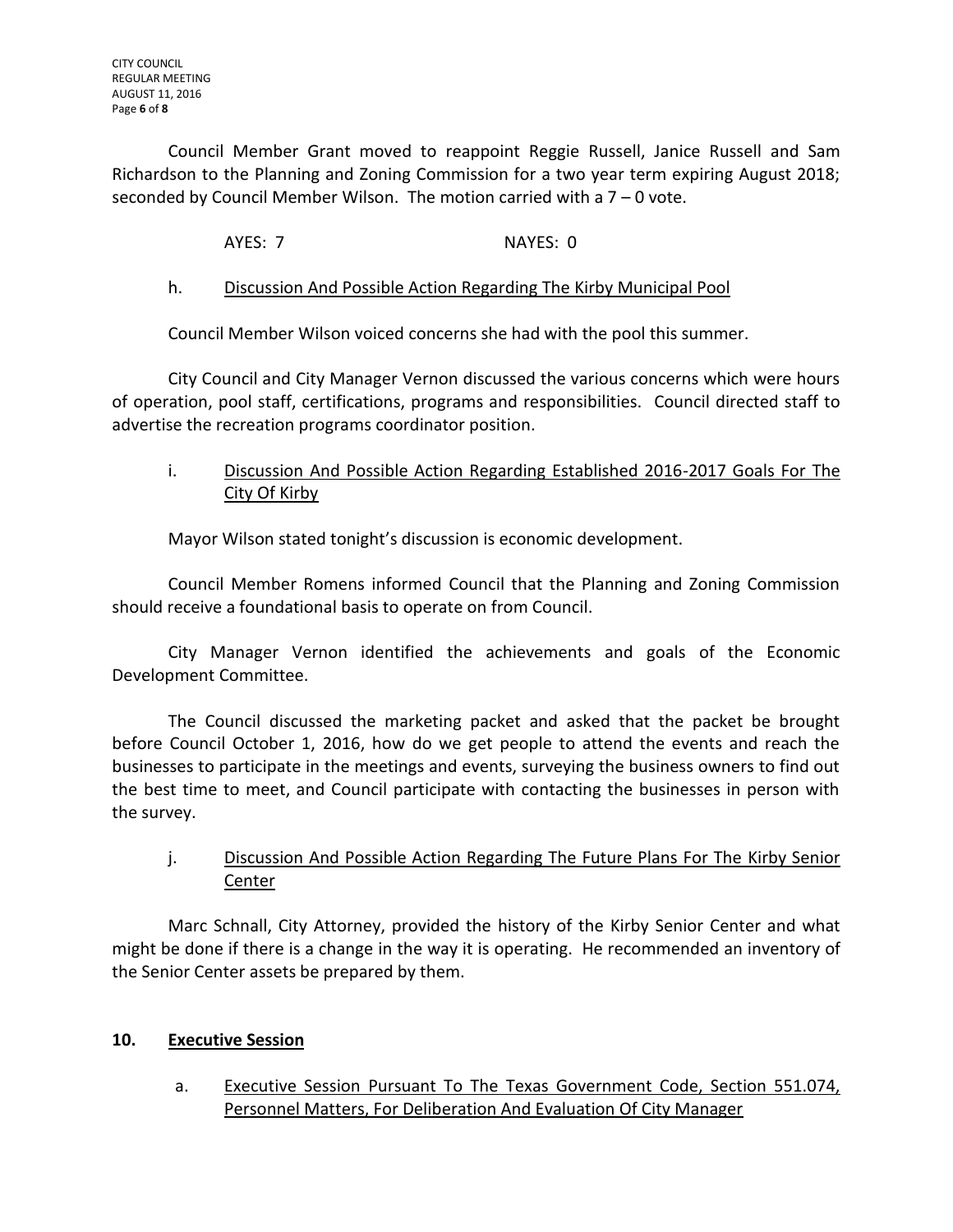Council Member Grant moved to reappoint Reggie Russell, Janice Russell and Sam Richardson to the Planning and Zoning Commission for a two year term expiring August 2018; seconded by Council Member Wilson. The motion carried with a 7 – 0 vote.

AYES: 7 NAYES: 0

# h. Discussion And Possible Action Regarding The Kirby Municipal Pool

Council Member Wilson voiced concerns she had with the pool this summer.

City Council and City Manager Vernon discussed the various concerns which were hours of operation, pool staff, certifications, programs and responsibilities. Council directed staff to advertise the recreation programs coordinator position.

# i. Discussion And Possible Action Regarding Established 2016-2017 Goals For The City Of Kirby

Mayor Wilson stated tonight's discussion is economic development.

Council Member Romens informed Council that the Planning and Zoning Commission should receive a foundational basis to operate on from Council.

City Manager Vernon identified the achievements and goals of the Economic Development Committee.

The Council discussed the marketing packet and asked that the packet be brought before Council October 1, 2016, how do we get people to attend the events and reach the businesses to participate in the meetings and events, surveying the business owners to find out the best time to meet, and Council participate with contacting the businesses in person with the survey.

# j. Discussion And Possible Action Regarding The Future Plans For The Kirby Senior **Center**

Marc Schnall, City Attorney, provided the history of the Kirby Senior Center and what might be done if there is a change in the way it is operating. He recommended an inventory of the Senior Center assets be prepared by them.

### **10. Executive Session**

a. Executive Session Pursuant To The Texas Government Code, Section 551.074, Personnel Matters, For Deliberation And Evaluation Of City Manager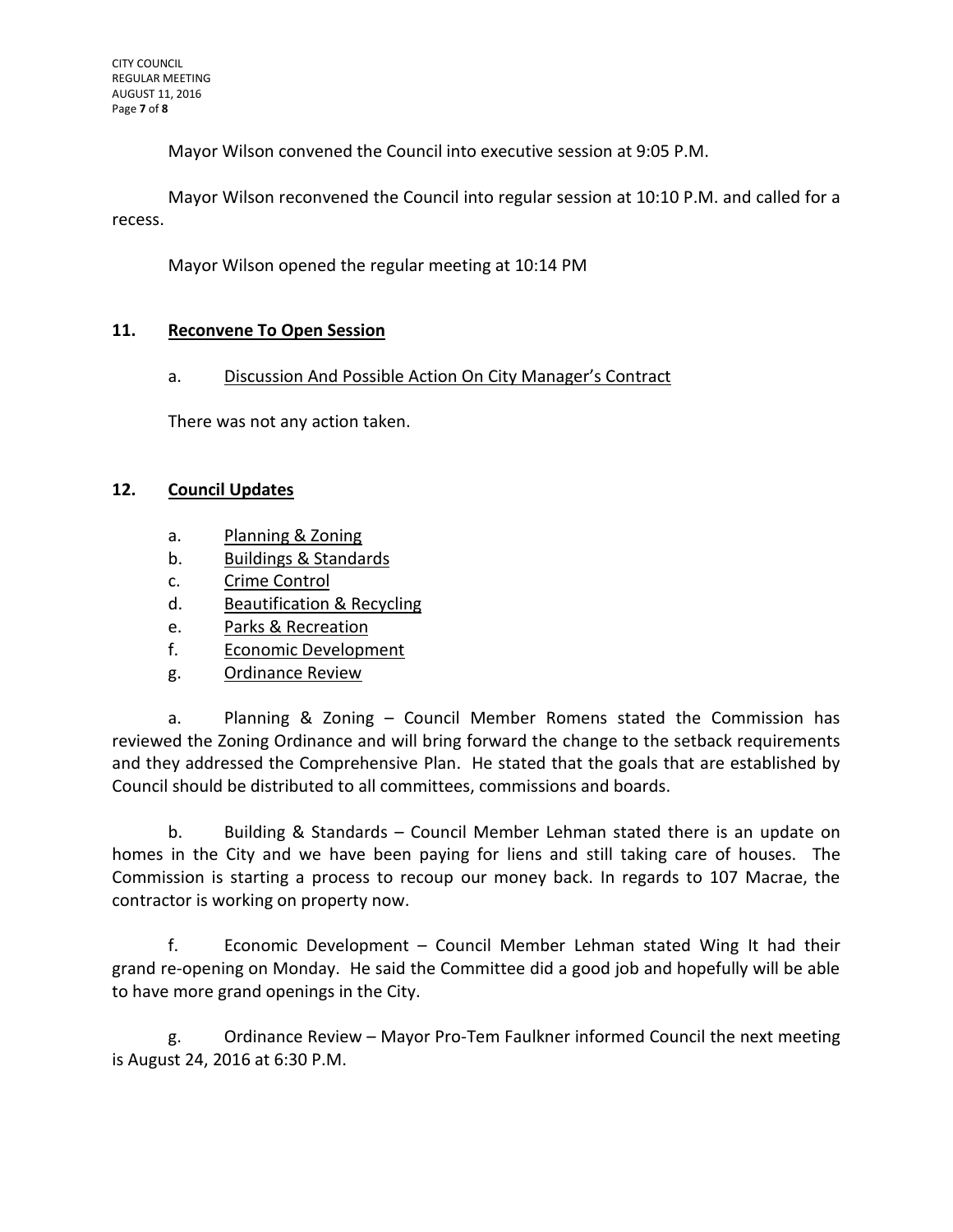Mayor Wilson convened the Council into executive session at 9:05 P.M.

Mayor Wilson reconvened the Council into regular session at 10:10 P.M. and called for a recess.

Mayor Wilson opened the regular meeting at 10:14 PM

### **11. Reconvene To Open Session**

### a. Discussion And Possible Action On City Manager's Contract

There was not any action taken.

### **12. Council Updates**

- a. Planning & Zoning
- b. Buildings & Standards
- c. Crime Control
- d. Beautification & Recycling
- e. Parks & Recreation
- f. Economic Development
- g. Ordinance Review

a. Planning & Zoning – Council Member Romens stated the Commission has reviewed the Zoning Ordinance and will bring forward the change to the setback requirements and they addressed the Comprehensive Plan. He stated that the goals that are established by Council should be distributed to all committees, commissions and boards.

b. Building & Standards – Council Member Lehman stated there is an update on homes in the City and we have been paying for liens and still taking care of houses. The Commission is starting a process to recoup our money back. In regards to 107 Macrae, the contractor is working on property now.

f. Economic Development – Council Member Lehman stated Wing It had their grand re-opening on Monday. He said the Committee did a good job and hopefully will be able to have more grand openings in the City.

g. Ordinance Review – Mayor Pro-Tem Faulkner informed Council the next meeting is August 24, 2016 at 6:30 P.M.